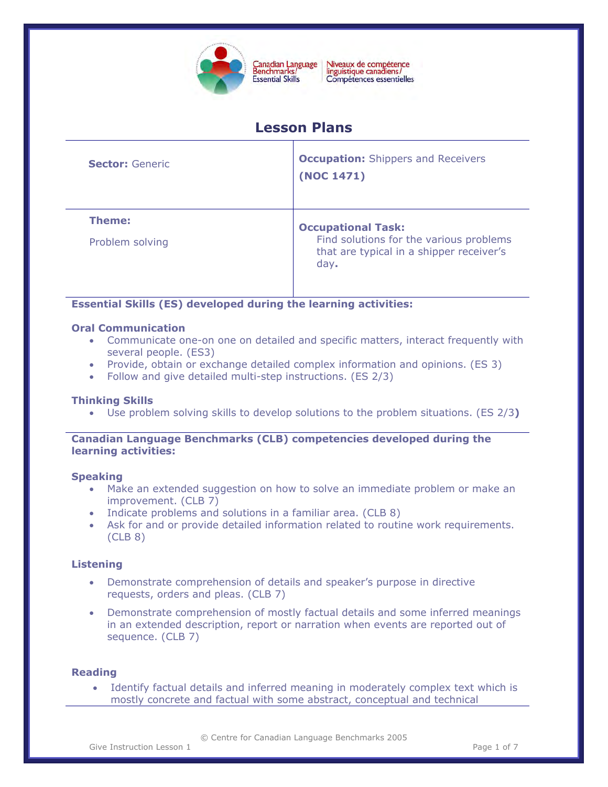

Niveaux de compétence<br>linguistique canadiens/ Compétences essentielles

# **Lesson Plans**

| <b>Sector: Generic</b> | <b>Occupation:</b> Shippers and Receivers<br>(NOC 1471)                                     |  |
|------------------------|---------------------------------------------------------------------------------------------|--|
| Theme:                 | <b>Occupational Task:</b>                                                                   |  |
| Problem solving        | Find solutions for the various problems<br>that are typical in a shipper receiver's<br>day. |  |

**Essential Skills (ES) developed during the learning activities:** 

# **Oral Communication**

- Communicate one-on one on detailed and specific matters, interact frequently with several people. (ES3)
- Provide, obtain or exchange detailed complex information and opinions. (ES 3)
- Follow and give detailed multi-step instructions. (ES 2/3)

# **Thinking Skills**

• Use problem solving skills to develop solutions to the problem situations. (ES 2/3**)** 

# **Canadian Language Benchmarks (CLB) competencies developed during the learning activities:**

#### **Speaking**

- Make an extended suggestion on how to solve an immediate problem or make an improvement. (CLB 7)
- Indicate problems and solutions in a familiar area. (CLB 8)
- Ask for and or provide detailed information related to routine work requirements. (CLB 8)

# **Listening**

- Demonstrate comprehension of details and speaker's purpose in directive requests, orders and pleas. (CLB 7)
- Demonstrate comprehension of mostly factual details and some inferred meanings in an extended description, report or narration when events are reported out of sequence. (CLB 7)

# **Reading**

• Identify factual details and inferred meaning in moderately complex text which is mostly concrete and factual with some abstract, conceptual and technical

© Centre for Canadian Language Benchmarks 2005

Give Instruction Lesson 1 and 1 and 1 and 1 and 1 and 1 and 1 and 1 and 1 and 1 and 1 and 1 and 1 and 1 and 1 and 1 and 1 and 1 and 1 and 1 and 1 and 1 and 1 and 1 and 1 and 1 and 1 and 1 and 1 and 1 and 1 and 1 and 1 and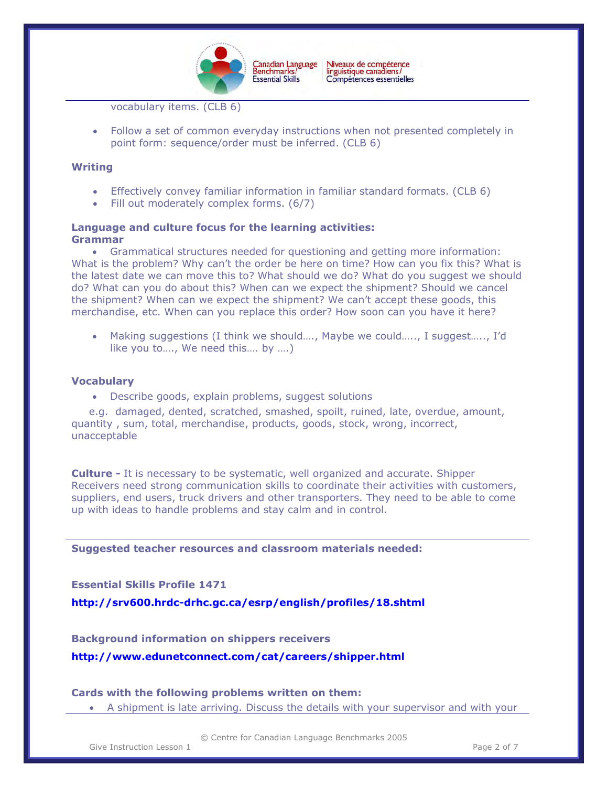

Canadian Language<br>Benchmarks/ Niveaux de compétence<br>linguistique canadiens/ Compétences essentielles

vocabulary items. (CLB 6)

• Follow a set of common everyday instructions when not presented completely in point form: sequence/order must be inferred. (CLB 6)

#### **Writing**

- Effectively convey familiar information in familiar standard formats. (CLB 6)
- Fill out moderately complex forms. (6/7)

#### **Language and culture focus for the learning activities: Grammar**

• Grammatical structures needed for questioning and getting more information: What is the problem? Why can't the order be here on time? How can you fix this? What is the latest date we can move this to? What should we do? What do you suggest we should do? What can you do about this? When can we expect the shipment? Should we cancel the shipment? When can we expect the shipment? We can't accept these goods, this merchandise, etc. When can you replace this order? How soon can you have it here?

• Making suggestions (I think we should…., Maybe we could….., I suggest….., I'd like you to…., We need this…. by ….)

#### **Vocabulary**

• Describe goods, explain problems, suggest solutions

 e.g. damaged, dented, scratched, smashed, spoilt, ruined, late, overdue, amount, quantity , sum, total, merchandise, products, goods, stock, wrong, incorrect, unacceptable

**Culture -** It is necessary to be systematic, well organized and accurate. Shipper Receivers need strong communication skills to coordinate their activities with customers, suppliers, end users, truck drivers and other transporters. They need to be able to come up with ideas to handle problems and stay calm and in control.

**Suggested teacher resources and classroom materials needed:** 

# **Essential Skills Profile 1471**

**<http://srv600.hrdc-drhc.gc.ca/esrp/english/profiles/18.shtml>**

## **Background information on shippers receivers**

**<http://www.edunetconnect.com/cat/careers/shipper.html>**

#### **Cards with the following problems written on them:**

• A shipment is late arriving. Discuss the details with your supervisor and with your

© Centre for Canadian Language Benchmarks 2005

Give Instruction Lesson 1 and 1 and 1 and 1 and 1 and 1 and 1 and 1 and 1 and 1 and 1 and 1 and 1 and 1 and 1 and 1 and 1 and 1 and 1 and 1 and 1 and 1 and 1 and 1 and 1 and 1 and 1 and 1 and 1 and 1 and 1 and 1 and 1 and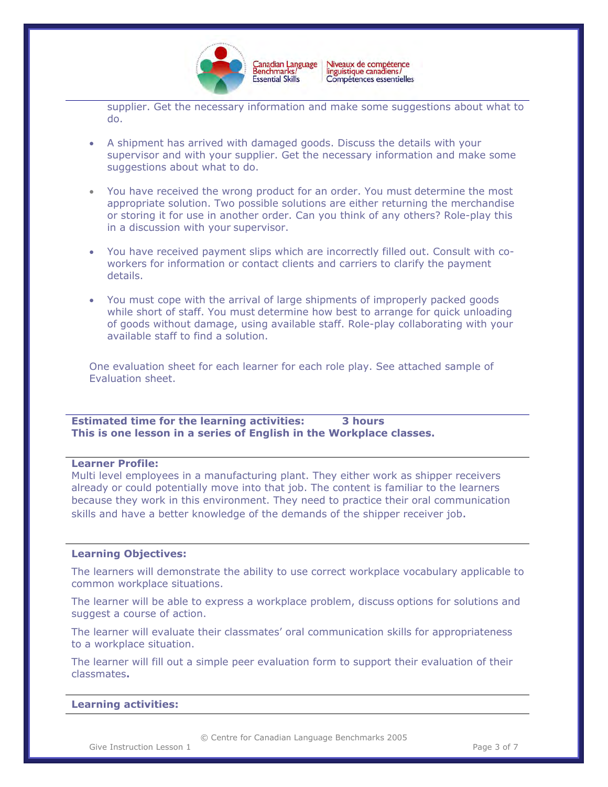

Niveaux de compétence<br>linguistique canadiens/ Canadian Language<br>Benchmarks/ Compétences essentielles

supplier. Get the necessary information and make some suggestions about what to do.

- A shipment has arrived with damaged goods. Discuss the details with your supervisor and with your supplier. Get the necessary information and make some suggestions about what to do.
- You have received the wrong product for an order. You must determine the most appropriate solution. Two possible solutions are either returning the merchandise or storing it for use in another order. Can you think of any others? Role-play this in a discussion with your supervisor.
- You have received payment slips which are incorrectly filled out. Consult with coworkers for information or contact clients and carriers to clarify the payment details.
- You must cope with the arrival of large shipments of improperly packed goods while short of staff. You must determine how best to arrange for quick unloading of goods without damage, using available staff. Role-play collaborating with your available staff to find a solution.

One evaluation sheet for each learner for each role play. See attached sample of Evaluation sheet.

**Estimated time for the learning activities: 3 hours This is one lesson in a series of English in the Workplace classes.** 

#### **Learner Profile:**

Multi level employees in a manufacturing plant. They either work as shipper receivers already or could potentially move into that job. The content is familiar to the learners because they work in this environment. They need to practice their oral communication skills and have a better knowledge of the demands of the shipper receiver job.

#### **Learning Objectives:**

The learners will demonstrate the ability to use correct workplace vocabulary applicable to common workplace situations.

The learner will be able to express a workplace problem, discuss options for solutions and suggest a course of action.

The learner will evaluate their classmates' oral communication skills for appropriateness to a workplace situation.

The learner will fill out a simple peer evaluation form to support their evaluation of their classmates**.** 

#### **Learning activities:**

© Centre for Canadian Language Benchmarks 2005

Give Instruction Lesson 1 and 1 and 1 and 1 and 1 and 1 and 1 and 1 and 1 and 1 and 1 and 1 and 1 and 1 and 1 and 1 and 1 and 1 and 1 and 1 and 1 and 1 and 1 and 1 and 1 and 1 and 1 and 1 and 1 and 1 and 1 and 1 and 1 and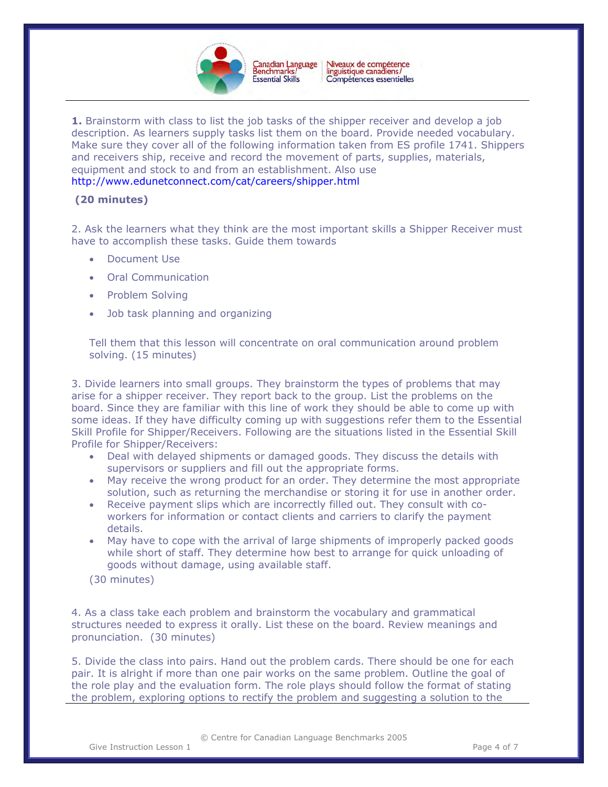

**1.** Brainstorm with class to list the job tasks of the shipper receiver and develop a job description. As learners supply tasks list them on the board. Provide needed vocabulary. Make sure they cover all of the following information taken from ES profile 1741. Shippers and receivers ship, receive and record the movement of parts, supplies, materials, equipment and stock to and from an establishment. Also use <http://www.edunetconnect.com/cat/careers/shipper.html>

# **(20 minutes)**

2. Ask the learners what they think are the most important skills a Shipper Receiver must have to accomplish these tasks. Guide them towards

- Document Use
- Oral Communication
- Problem Solving
- Job task planning and organizing

Tell them that this lesson will concentrate on oral communication around problem solving. (15 minutes)

3. Divide learners into small groups. They brainstorm the types of problems that may arise for a shipper receiver. They report back to the group. List the problems on the board. Since they are familiar with this line of work they should be able to come up with some ideas. If they have difficulty coming up with suggestions refer them to the Essential Skill Profile for Shipper/Receivers. Following are the situations listed in the Essential Skill Profile for Shipper/Receivers:

- Deal with delayed shipments or damaged goods. They discuss the details with supervisors or suppliers and fill out the appropriate forms.
- May receive the wrong product for an order. They determine the most appropriate solution, such as returning the merchandise or storing it for use in another order.
- Receive payment slips which are incorrectly filled out. They consult with coworkers for information or contact clients and carriers to clarify the payment details.
- May have to cope with the arrival of large shipments of improperly packed goods while short of staff. They determine how best to arrange for quick unloading of goods without damage, using available staff.
- (30 minutes)

4. As a class take each problem and brainstorm the vocabulary and grammatical structures needed to express it orally. List these on the board. Review meanings and pronunciation. (30 minutes)

5. Divide the class into pairs. Hand out the problem cards. There should be one for each pair. It is alright if more than one pair works on the same problem. Outline the goal of the role play and the evaluation form. The role plays should follow the format of stating the problem, exploring options to rectify the problem and suggesting a solution to the

© Centre for Canadian Language Benchmarks 2005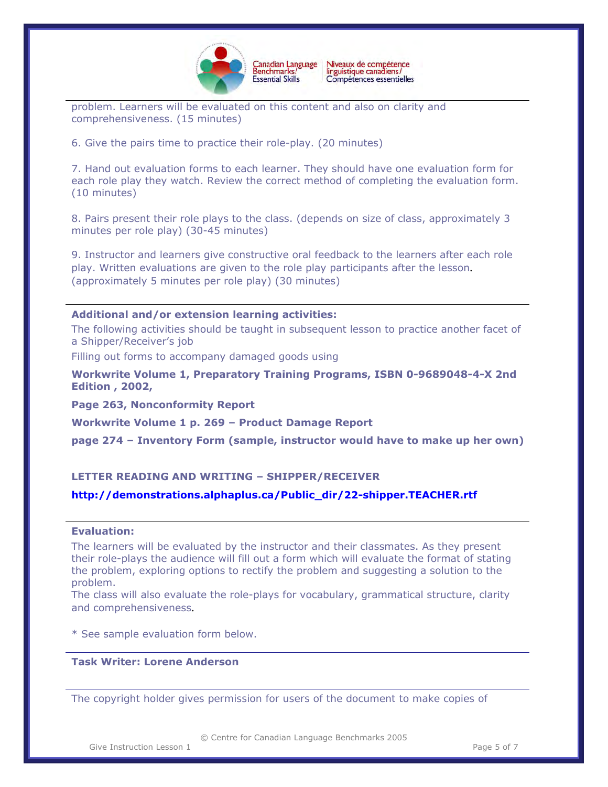

problem. Learners will be evaluated on this content and also on clarity and comprehensiveness. (15 minutes)

6. Give the pairs time to practice their role-play. (20 minutes)

7. Hand out evaluation forms to each learner. They should have one evaluation form for each role play they watch. Review the correct method of completing the evaluation form. (10 minutes)

8. Pairs present their role plays to the class. (depends on size of class, approximately 3 minutes per role play) (30-45 minutes)

9. Instructor and learners give constructive oral feedback to the learners after each role play. Written evaluations are given to the role play participants after the lesson. (approximately 5 minutes per role play) (30 minutes)

#### **Additional and/or extension learning activities:**

The following activities should be taught in subsequent lesson to practice another facet of a Shipper/Receiver's job

Filling out forms to accompany damaged goods using

**Workwrite Volume 1, Preparatory Training Programs, ISBN 0-9689048-4-X 2nd Edition , 2002,** 

**Page 263, Nonconformity Report** 

**Workwrite Volume 1 p. 269 – Product Damage Report** 

**page 274 – Inventory Form (sample, instructor would have to make up her own)**

# **LETTER READING AND WRITING – SHIPPER/RECEIVER**

# **http://demonstrations.alphaplus.ca/Public\_dir/22-shipper.TEACHER.rtf**

# **Evaluation:**

The learners will be evaluated by the instructor and their classmates. As they present their role-plays the audience will fill out a form which will evaluate the format of stating the problem, exploring options to rectify the problem and suggesting a solution to the problem.

The class will also evaluate the role-plays for vocabulary, grammatical structure, clarity and comprehensiveness.

\* See sample evaluation form below.

# **Task Writer: Lorene Anderson**

*The copyright holder gives permission for users of the document to make copies of*

© Centre for Canadian Language Benchmarks 2005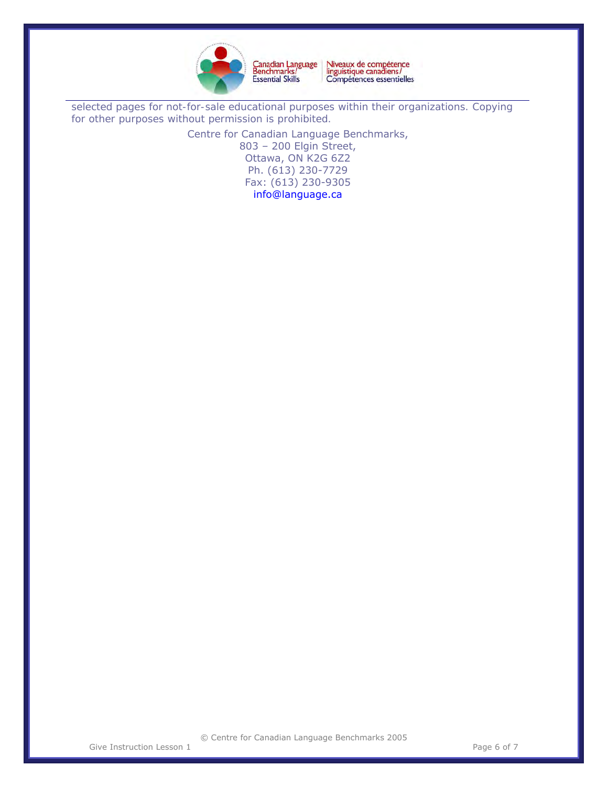

Niveaux de compétence<br>linguistique canadiens/<br>Compétences essentielles Canadian Language<br>Benchmarks/<br>Essential Skills

*selected pages for not-for-sale educational purposes within their organizations. Copying for other purposes without permission is prohibited.* 

> Centre for Canadian Language Benchmarks, 803 – 200 Elgin Street, Ottawa, ON K2G 6Z2 Ph. (613) 230-7729 Fax: (613) 230-9305 [info@language.ca](mailto:info@language.ca)